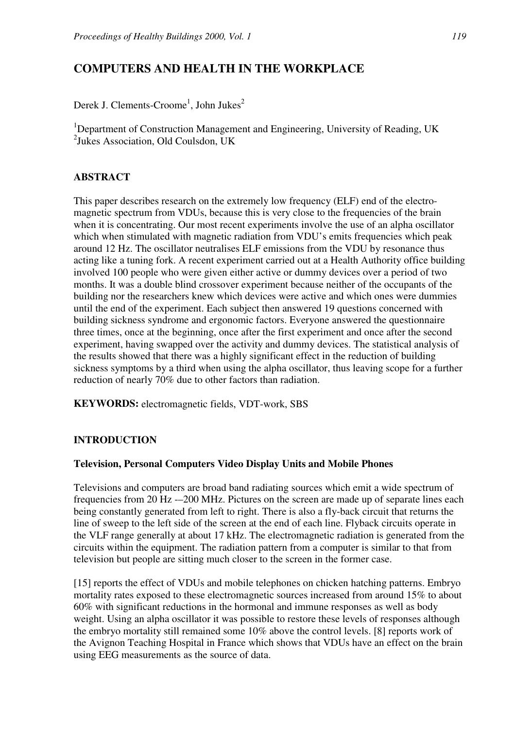# **COMPUTERS AND HEALTH IN THE WORKPLACE**

Derek J. Clements-Croome<sup>1</sup>, John Jukes<sup>2</sup>

<sup>1</sup>Department of Construction Management and Engineering, University of Reading, UK 2 Jukes Association, Old Coulsdon, UK

### **ABSTRACT**

This paper describes research on the extremely low frequency (ELF) end of the electromagnetic spectrum from VDUs, because this is very close to the frequencies of the brain when it is concentrating. Our most recent experiments involve the use of an alpha oscillator which when stimulated with magnetic radiation from VDU's emits frequencies which peak around 12 Hz. The oscillator neutralises ELF emissions from the VDU by resonance thus acting like a tuning fork. A recent experiment carried out at a Health Authority office building involved 100 people who were given either active or dummy devices over a period of two months. It was a double blind crossover experiment because neither of the occupants of the building nor the researchers knew which devices were active and which ones were dummies until the end of the experiment. Each subject then answered 19 questions concerned with building sickness syndrome and ergonomic factors. Everyone answered the questionnaire three times, once at the beginning, once after the first experiment and once after the second experiment, having swapped over the activity and dummy devices. The statistical analysis of the results showed that there was a highly significant effect in the reduction of building sickness symptoms by a third when using the alpha oscillator, thus leaving scope for a further reduction of nearly 70% due to other factors than radiation.

**KEYWORDS:** electromagnetic fields, VDT-work, SBS

## **INTRODUCTION**

#### **Television, Personal Computers Video Display Units and Mobile Phones**

Televisions and computers are broad band radiating sources which emit a wide spectrum of frequencies from 20 Hz -–200 MHz. Pictures on the screen are made up of separate lines each being constantly generated from left to right. There is also a fly-back circuit that returns the line of sweep to the left side of the screen at the end of each line. Flyback circuits operate in the VLF range generally at about 17 kHz. The electromagnetic radiation is generated from the circuits within the equipment. The radiation pattern from a computer is similar to that from television but people are sitting much closer to the screen in the former case.

[15] reports the effect of VDUs and mobile telephones on chicken hatching patterns. Embryo mortality rates exposed to these electromagnetic sources increased from around 15% to about 60% with significant reductions in the hormonal and immune responses as well as body weight. Using an alpha oscillator it was possible to restore these levels of responses although the embryo mortality still remained some 10% above the control levels. [8] reports work of the Avignon Teaching Hospital in France which shows that VDUs have an effect on the brain using EEG measurements as the source of data.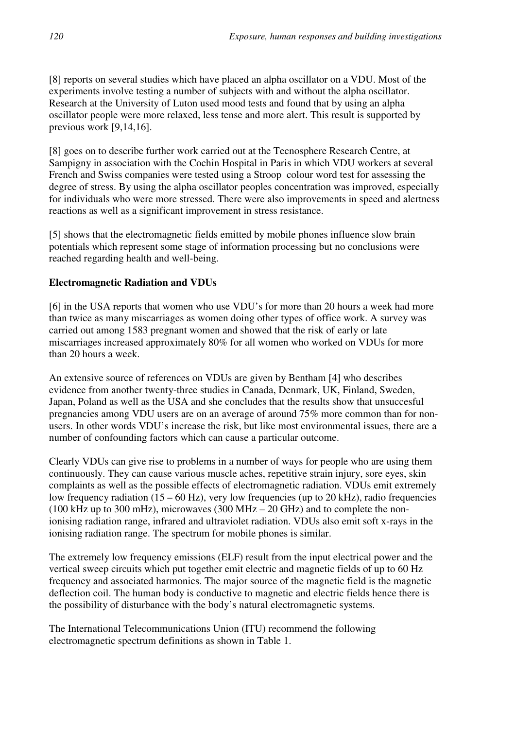[8] reports on several studies which have placed an alpha oscillator on a VDU. Most of the experiments involve testing a number of subjects with and without the alpha oscillator. Research at the University of Luton used mood tests and found that by using an alpha oscillator people were more relaxed, less tense and more alert. This result is supported by previous work [9,14,16].

[8] goes on to describe further work carried out at the Tecnosphere Research Centre, at Sampigny in association with the Cochin Hospital in Paris in which VDU workers at several French and Swiss companies were tested using a Stroop colour word test for assessing the degree of stress. By using the alpha oscillator peoples concentration was improved, especially for individuals who were more stressed. There were also improvements in speed and alertness reactions as well as a significant improvement in stress resistance.

[5] shows that the electromagnetic fields emitted by mobile phones influence slow brain potentials which represent some stage of information processing but no conclusions were reached regarding health and well-being.

## **Electromagnetic Radiation and VDUs**

[6] in the USA reports that women who use VDU's for more than 20 hours a week had more than twice as many miscarriages as women doing other types of office work. A survey was carried out among 1583 pregnant women and showed that the risk of early or late miscarriages increased approximately 80% for all women who worked on VDUs for more than 20 hours a week.

An extensive source of references on VDUs are given by Bentham [4] who describes evidence from another twenty-three studies in Canada, Denmark, UK, Finland, Sweden, Japan, Poland as well as the USA and she concludes that the results show that unsuccesful pregnancies among VDU users are on an average of around 75% more common than for nonusers. In other words VDU's increase the risk, but like most environmental issues, there are a number of confounding factors which can cause a particular outcome.

Clearly VDUs can give rise to problems in a number of ways for people who are using them continuously. They can cause various muscle aches, repetitive strain injury, sore eyes, skin complaints as well as the possible effects of electromagnetic radiation. VDUs emit extremely low frequency radiation (15 – 60 Hz), very low frequencies (up to 20 kHz), radio frequencies (100 kHz up to 300 mHz), microwaves (300 MHz  $-$  20 GHz) and to complete the nonionising radiation range, infrared and ultraviolet radiation. VDUs also emit soft x-rays in the ionising radiation range. The spectrum for mobile phones is similar.

The extremely low frequency emissions (ELF) result from the input electrical power and the vertical sweep circuits which put together emit electric and magnetic fields of up to 60 Hz frequency and associated harmonics. The major source of the magnetic field is the magnetic deflection coil. The human body is conductive to magnetic and electric fields hence there is the possibility of disturbance with the body's natural electromagnetic systems.

The International Telecommunications Union (ITU) recommend the following electromagnetic spectrum definitions as shown in Table 1.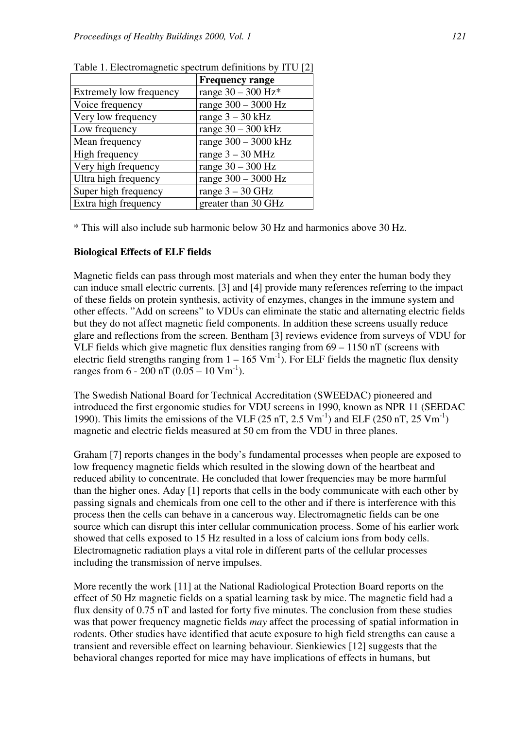|                         | <b>Frequency range</b> |
|-------------------------|------------------------|
| Extremely low frequency | range $30 - 300$ Hz*   |
| Voice frequency         | range $300 - 3000$ Hz  |
| Very low frequency      | range $3 - 30$ kHz     |
| Low frequency           | range $30 - 300$ kHz   |
| Mean frequency          | range 300 - 3000 kHz   |
| High frequency          | range $3 - 30$ MHz     |
| Very high frequency     | range $30 - 300$ Hz    |
| Ultra high frequency    | range 300 – 3000 Hz    |
| Super high frequency    | range $3 - 30$ GHz     |
| Extra high frequency    | greater than 30 GHz    |

Table 1. Electromagnetic spectrum definitions by ITU [2]

\* This will also include sub harmonic below 30 Hz and harmonics above 30 Hz.

#### **Biological Effects of ELF fields**

Magnetic fields can pass through most materials and when they enter the human body they can induce small electric currents. [3] and [4] provide many references referring to the impact of these fields on protein synthesis, activity of enzymes, changes in the immune system and other effects. "Add on screens" to VDUs can eliminate the static and alternating electric fields but they do not affect magnetic field components. In addition these screens usually reduce glare and reflections from the screen. Bentham [3] reviews evidence from surveys of VDU for VLF fields which give magnetic flux densities ranging from 69 – 1150 nT (screens with electric field strengths ranging from  $1 - 165$  Vm<sup>-1</sup>). For ELF fields the magnetic flux density ranges from  $6 - 200$  nT  $(0.05 - 10$  Vm<sup>-1</sup>).

The Swedish National Board for Technical Accreditation (SWEEDAC) pioneered and introduced the first ergonomic studies for VDU screens in 1990, known as NPR 11 (SEEDAC 1990). This limits the emissions of the VLF (25 nT, 2.5 Vm<sup>-1</sup>) and ELF (250 nT, 25 Vm<sup>-1</sup>) magnetic and electric fields measured at 50 cm from the VDU in three planes.

Graham [7] reports changes in the body's fundamental processes when people are exposed to low frequency magnetic fields which resulted in the slowing down of the heartbeat and reduced ability to concentrate. He concluded that lower frequencies may be more harmful than the higher ones. Aday [1] reports that cells in the body communicate with each other by passing signals and chemicals from one cell to the other and if there is interference with this process then the cells can behave in a cancerous way. Electromagnetic fields can be one source which can disrupt this inter cellular communication process. Some of his earlier work showed that cells exposed to 15 Hz resulted in a loss of calcium ions from body cells. Electromagnetic radiation plays a vital role in different parts of the cellular processes including the transmission of nerve impulses.

More recently the work [11] at the National Radiological Protection Board reports on the effect of 50 Hz magnetic fields on a spatial learning task by mice. The magnetic field had a flux density of 0.75 nT and lasted for forty five minutes. The conclusion from these studies was that power frequency magnetic fields *may* affect the processing of spatial information in rodents. Other studies have identified that acute exposure to high field strengths can cause a transient and reversible effect on learning behaviour. Sienkiewics [12] suggests that the behavioral changes reported for mice may have implications of effects in humans, but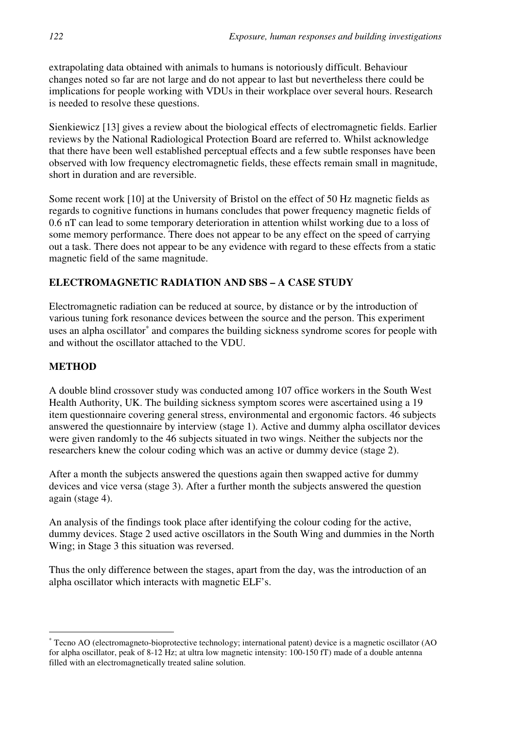extrapolating data obtained with animals to humans is notoriously difficult. Behaviour changes noted so far are not large and do not appear to last but nevertheless there could be implications for people working with VDUs in their workplace over several hours. Research is needed to resolve these questions.

Sienkiewicz [13] gives a review about the biological effects of electromagnetic fields. Earlier reviews by the National Radiological Protection Board are referred to. Whilst acknowledge that there have been well established perceptual effects and a few subtle responses have been observed with low frequency electromagnetic fields, these effects remain small in magnitude, short in duration and are reversible.

Some recent work [10] at the University of Bristol on the effect of 50 Hz magnetic fields as regards to cognitive functions in humans concludes that power frequency magnetic fields of 0.6 nT can lead to some temporary deterioration in attention whilst working due to a loss of some memory performance. There does not appear to be any effect on the speed of carrying out a task. There does not appear to be any evidence with regard to these effects from a static magnetic field of the same magnitude.

## **ELECTROMAGNETIC RADIATION AND SBS – A CASE STUDY**

Electromagnetic radiation can be reduced at source, by distance or by the introduction of various tuning fork resonance devices between the source and the person. This experiment uses an alpha oscillator<sup>∗</sup> and compares the building sickness syndrome scores for people with and without the oscillator attached to the VDU.

## **METHOD**

 $\overline{a}$ 

A double blind crossover study was conducted among 107 office workers in the South West Health Authority, UK. The building sickness symptom scores were ascertained using a 19 item questionnaire covering general stress, environmental and ergonomic factors. 46 subjects answered the questionnaire by interview (stage 1). Active and dummy alpha oscillator devices were given randomly to the 46 subjects situated in two wings. Neither the subjects nor the researchers knew the colour coding which was an active or dummy device (stage 2).

After a month the subjects answered the questions again then swapped active for dummy devices and vice versa (stage 3). After a further month the subjects answered the question again (stage 4).

An analysis of the findings took place after identifying the colour coding for the active, dummy devices. Stage 2 used active oscillators in the South Wing and dummies in the North Wing; in Stage 3 this situation was reversed.

Thus the only difference between the stages, apart from the day, was the introduction of an alpha oscillator which interacts with magnetic ELF's.

<sup>∗</sup> Tecno AO (electromagneto-bioprotective technology; international patent) device is a magnetic oscillator (AO for alpha oscillator, peak of 8-12 Hz; at ultra low magnetic intensity: 100-150 fT) made of a double antenna filled with an electromagnetically treated saline solution.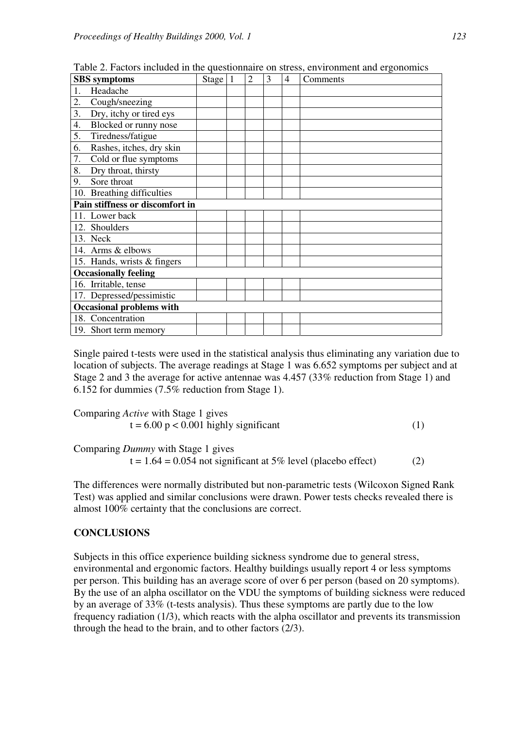| <b>SBS</b> symptoms             |                             | Stage $ 1$ |  | $\overline{2}$ | 3 | $\overline{4}$ | Comments |
|---------------------------------|-----------------------------|------------|--|----------------|---|----------------|----------|
|                                 | Headache                    |            |  |                |   |                |          |
| 2.                              | Cough/sneezing              |            |  |                |   |                |          |
| 3.                              | Dry, itchy or tired eys     |            |  |                |   |                |          |
| 4.                              | Blocked or runny nose       |            |  |                |   |                |          |
| 5.                              | Tiredness/fatigue           |            |  |                |   |                |          |
| 6.                              | Rashes, itches, dry skin    |            |  |                |   |                |          |
| 7.                              | Cold or flue symptoms       |            |  |                |   |                |          |
| 8.                              | Dry throat, thirsty         |            |  |                |   |                |          |
| 9.                              | Sore throat                 |            |  |                |   |                |          |
|                                 | 10. Breathing difficulties  |            |  |                |   |                |          |
| Pain stiffness or discomfort in |                             |            |  |                |   |                |          |
|                                 | 11. Lower back              |            |  |                |   |                |          |
| 12. Shoulders                   |                             |            |  |                |   |                |          |
| 13. Neck                        |                             |            |  |                |   |                |          |
|                                 | 14. Arms & elbows           |            |  |                |   |                |          |
|                                 | 15. Hands, wrists & fingers |            |  |                |   |                |          |
| <b>Occasionally feeling</b>     |                             |            |  |                |   |                |          |
|                                 | 16. Irritable, tense        |            |  |                |   |                |          |
|                                 | 17. Depressed/pessimistic   |            |  |                |   |                |          |
| <b>Occasional problems with</b> |                             |            |  |                |   |                |          |
|                                 | 18. Concentration           |            |  |                |   |                |          |
|                                 | 19. Short term memory       |            |  |                |   |                |          |

Table 2. Factors included in the questionnaire on stress, environment and ergonomics

Single paired t-tests were used in the statistical analysis thus eliminating any variation due to location of subjects. The average readings at Stage 1 was 6.652 symptoms per subject and at Stage 2 and 3 the average for active antennae was 4.457 (33% reduction from Stage 1) and 6.152 for dummies (7.5% reduction from Stage 1).

Comparing *Active* with Stage 1 gives  

$$
t = 6.00 p < 0.001
$$
 highly significant\n
$$
\tag{1}
$$

Comparing *Dummy* with Stage 1 gives

 $t = 1.64 = 0.054$  not significant at 5% level (placebo effect) (2)

The differences were normally distributed but non-parametric tests (Wilcoxon Signed Rank Test) was applied and similar conclusions were drawn. Power tests checks revealed there is almost 100% certainty that the conclusions are correct.

#### **CONCLUSIONS**

Subjects in this office experience building sickness syndrome due to general stress, environmental and ergonomic factors. Healthy buildings usually report 4 or less symptoms per person. This building has an average score of over 6 per person (based on 20 symptoms). By the use of an alpha oscillator on the VDU the symptoms of building sickness were reduced by an average of 33% (t-tests analysis). Thus these symptoms are partly due to the low frequency radiation (1/3), which reacts with the alpha oscillator and prevents its transmission through the head to the brain, and to other factors (2/3).